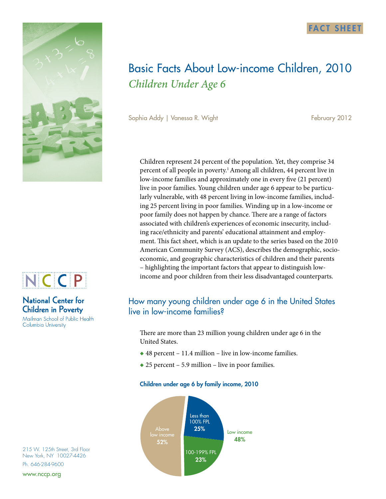



# **National Center for Children in Poverty**

Mailman School of Public Health Columbia University

215 W. 125th Street, 3rd Floor New York, NY 10027-4426 Ph. 646-284-9600

www.nccp.org



Sophia Addy | Vanessa R. Wight February 2012

Children represent 24 percent of the population. Yet, they comprise 34 percent of all people in poverty.<sup>1</sup> Among all children, 44 percent live in low-income families and approximately one in every five (21 percent) live in poor families. Young children under age 6 appear to be particularly vulnerable, with 48 percent living in low-income families, including 25 percent living in poor families. Winding up in a low-income or poor family does not happen by chance. There are a range of factors associated with children's experiences of economic insecurity, including race/ethnicity and parents' educational attainment and employment. This fact sheet, which is an update to the series based on the 2010 American Community Survey (ACS), describes the demographic, socioeconomic, and geographic characteristics of children and their parents – highlighting the important factors that appear to distinguish lowincome and poor children from their less disadvantaged counterparts.

# How many young children under age 6 in the United States live in low-income families?

There are more than 23 million young children under age 6 in the United States.

- $\triangle$  48 percent 11.4 million live in low-income families.
- $\triangle$  25 percent 5.9 million live in poor families.

### Children under age 6 by family income, 2010



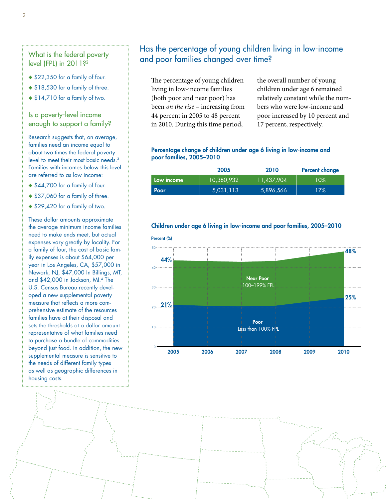# level (FPL) in 2011?<sup>2</sup>

- ◆ \$22,350 for a family of four.
- ◆ \$18,530 for a family of three.
- $*14,710$  for a family of two.

### Is a poverty-level income enough to support a family?

Research suggests that, on average, families need an income equal to about two times the federal poverty level to meet their most basic needs.<sup>3</sup> Families with incomes below this level are referred to as low income:

- ◆ \$44,700 for a family of four.
- ◆ \$37,060 for a family of three.
- $*$  \$29,420 for a family of two.

These dollar amounts approximate the average minimum income families need to make ends meet, but actual expenses vary greatly by locality. For a family of four, the cost of basic family expenses is about \$64,000 per year in Los Angeles, CA, \$57,000 in Newark, NJ, \$47,000 In Billings, MT, and \$42,000 in Jackson, MI.4 The U.S. Census Bureau recently developed a new supplemental poverty measure that reflects a more comprehensive estimate of the resources families have at their disposal and sets the thresholds at a dollar amount representative of what families need to purchase a bundle of commodities beyond just food. In addition, the new supplemental measure is sensitive to the needs of different family types as well as geographic differences in housing costs.

## Has the percentage of young children living in low-income What is the federal poverty<br>and poor families changed over time?

The percentage of young children living in low-income families (both poor and near poor) has been *on the rise* – increasing from 44 percent in 2005 to 48 percent in 2010. During this time period,

the overall number of young children under age 6 remained relatively constant while the numbers who were low-income and poor increased by 10 percent and 17 percent, respectively.

#### Percentage change of children under age 6 living in low-income and poor families, 2005–2010

|            | 2005       | 2010       | <b>Percent change</b> |
|------------|------------|------------|-----------------------|
| Low income | 10,380,932 | 11,437,904 | $10\%$                |
| Poor       | 5,031,113  | 5,896,566  | 17%                   |

### Children under age 6 living in low-income and poor families, 2005–2010

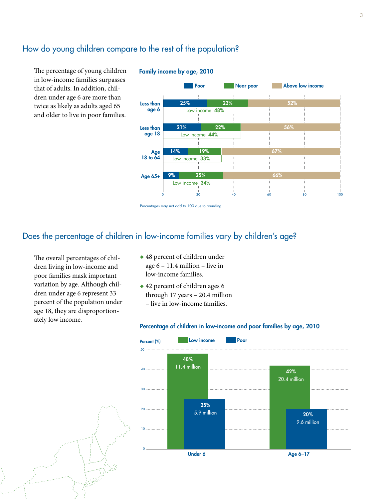## How do young children compare to the rest of the population?

The percentage of young children in low-income families surpasses that of adults. In addition, children under age 6 are more than twice as likely as adults aged 65 and older to live in poor families.



#### Family income by age, 2010

### Does the percentage of children in low-income families vary by children's age?

The overall percentages of children living in low-income and poor families mask important variation by age. Although children under age 6 represent 33 percent of the population under age 18, they are disproportionately low income.

- $\triangle$  48 percent of children under age 6 – 11.4 million – live in low-income families.
- $\triangle$  42 percent of children ages 6 through 17 years – 20.4 million – live in low-income families.

#### Percentage of children in low-income and poor families by age, 2010



Percentages may not add to 100 due to rounding.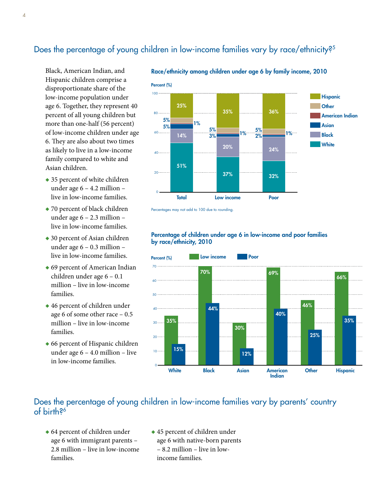# Does the percentage of young children in low-income families vary by race/ethnicity?<sup>5</sup>

Black, American Indian, and Hispanic children comprise a disproportionate share of the low-income population under age 6. Together, they represent 40 percent of all young children but more than one-half (56 percent) of low-income children under age 6. They are also about two times as likely to live in a low-income family compared to white and Asian children.

- $\rightarrow$  35 percent of white children under age 6 – 4.2 million – live in low-income families.
- $\rightarrow$  70 percent of black children under age 6 – 2.3 million – live in low-income families.
- $\triangle$  30 percent of Asian children under age 6 – 0.3 million – live in low-income families.
- $\triangle$  69 percent of American Indian children under age 6 – 0.1 million – live in low-income families.
- $\triangle$  46 percent of children under age 6 of some other race – 0.5 million – live in low-income families.
- $\triangle$  66 percent of Hispanic children under age 6 – 4.0 million – live in low-income families.



Race/ethnicity among children under age 6 by family income, 2010

Percentages may not add to 100 due to rounding.

### Percentage of children under age 6 in low-income and poor families by race/ethnicity, 2010



## Does the percentage of young children in low-income families vary by parents' country of birth?6

- $\bullet$  64 percent of children under age 6 with immigrant parents – 2.8 million – live in low-income families.
- $\triangle$  45 percent of children under age 6 with native-born parents – 8.2 million – live in lowincome families.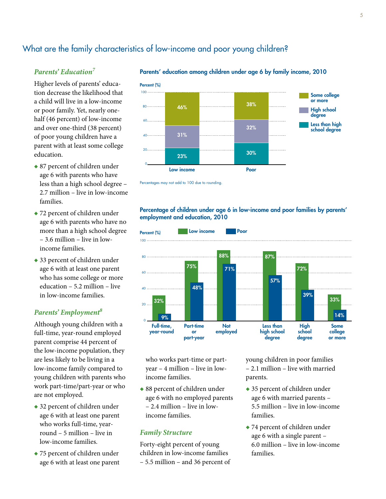# What are the family characteristics of low-income and poor young children?

### *Parents' Education7*

Higher levels of parents' education decrease the likelihood that a child will live in a low-income or poor family. Yet, nearly onehalf (46 percent) of low-income and over one-third (38 percent) of poor young children have a parent with at least some college education.

- $\bullet$  87 percent of children under age 6 with parents who have less than a high school degree – 2.7 million – live in low-income families.
- $\rightarrow$  72 percent of children under age 6 with parents who have no more than a high school degree – 3.6 million – live in lowincome families.
- $\rightarrow$  33 percent of children under age 6 with at least one parent who has some college or more education – 5.2 million – live in low-income families.

### *Parents' Employment8*

Although young children with a full-time, year-round employed parent comprise 44 percent of the low-income population, they are less likely to be living in a low-income family compared to young children with parents who work part-time/part-year or who are not employed.

- $\triangle$  32 percent of children under age 6 with at least one parent who works full-time, yearround – 5 million – live in low-income families.
- $\rightarrow$  75 percent of children under age 6 with at least one parent







### Percentage of children under age 6 in low-income and poor families by parents' employment and education, 2010



who works part-time or partyear – 4 million – live in lowincome families.

 $\triangle$  88 percent of children under age 6 with no employed parents – 2.4 million – live in lowincome families.

### *Family Structure*

Forty-eight percent of young children in low-income families – 5.5 million – and 36 percent of

young children in poor families – 2.1 million – live with married parents.

- $\rightarrow$  35 percent of children under age 6 with married parents – 5.5 million – live in low-income families.
- $\rightarrow$  74 percent of children under age 6 with a single parent – 6.0 million – live in low-income families.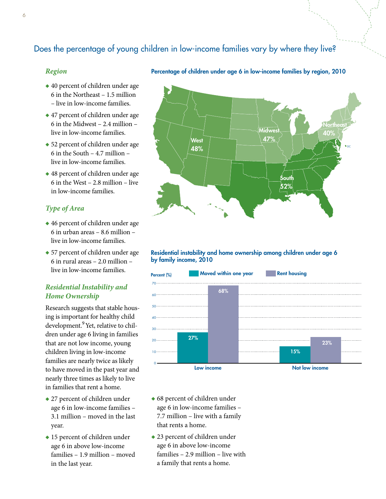# Does the percentage of young children in low-income families vary by where they live?

West 48%

### *Region*

- $\triangle$  40 percent of children under age 6 in the Northeast – 1.5 million – live in low-income families.
- $\triangle$  47 percent of children under age 6 in the Midwest – 2.4 million – live in low-income families.
- $\triangle$  52 percent of children under age 6 in the South – 4.7 million – live in low-income families.
- $\triangle$  48 percent of children under age 6 in the West – 2.8 million – live in low-income families.

### *Type of Area*

- $\triangle$  46 percent of children under age 6 in urban areas – 8.6 million – live in low-income families.
- $\bullet$  57 percent of children under age 6 in rural areas – 2.0 million – live in low-income families.

### *Residential Instability and Home Ownership*

Research suggests that stable housing is important for healthy child development.<sup>9</sup> Yet, relative to children under age 6 living in families that are not low income, young children living in low-income families are nearly twice as likely to have moved in the past year and nearly three times as likely to live in families that rent a home.

- $\triangle$  27 percent of children under age 6 in low-income families – 3.1 million – moved in the last year.
- $\bullet$  15 percent of children under age 6 in above low-income families – 1.9 million – moved in the last year.



47%

South  $52\%$ 

Percentage of children under age 6 in low-income families by region, 2010

DC

40%

### Residential instability and home ownership among children under age 6 by family income, 2010



- $\triangle$  68 percent of children under age 6 in low-income families – 7.7 million – live with a family that rents a home.
- $\triangle$  23 percent of children under age 6 in above low-income families – 2.9 million – live with a family that rents a home.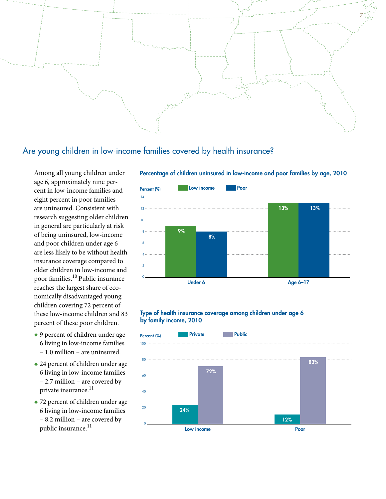

# Are young children in low-income families covered by health insurance?

Among all young children under age 6, approximately nine percent in low-income families and eight percent in poor families are uninsured. Consistent with research suggesting older children in general are particularly at risk of being uninsured, low-income and poor children under age 6 are less likely to be without health insurance coverage compared to older children in low-income and poor families.10 Public insurance reaches the largest share of economically disadvantaged young children covering 72 percent of these low-income children and 83 percent of these poor children.

- $\bullet$  9 percent of children under age 6 living in low-income families – 1.0 million – are uninsured.
- $\triangle$  24 percent of children under age 6 living in low-income families – 2.7 million – are covered by private insurance.<sup>11</sup>
- $\triangle$  72 percent of children under age 6 living in low-income families – 8.2 million – are covered by public insurance.<sup>11</sup>



Percentage of children uninsured in low-income and poor families by age, 2010

#### Type of health insurance coverage among children under age 6 by family income, 2010